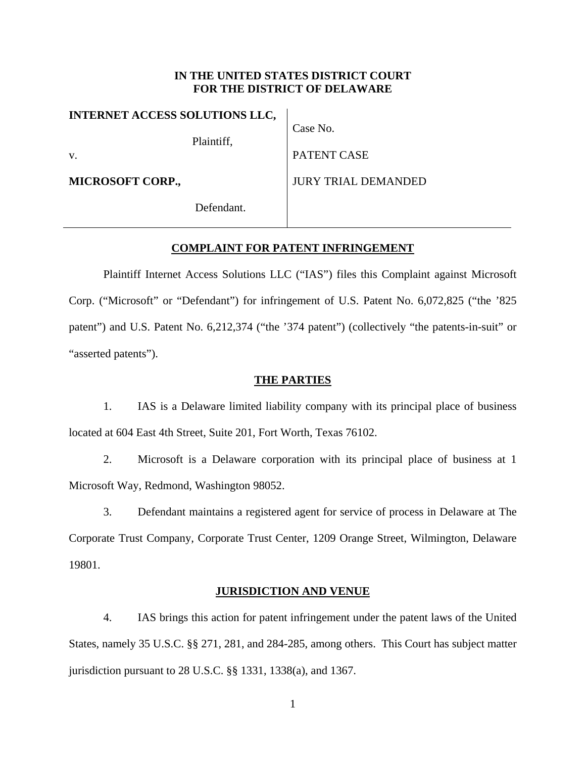## **IN THE UNITED STATES DISTRICT COURT FOR THE DISTRICT OF DELAWARE**

| <b>INTERNET ACCESS SOLUTIONS LLC,</b> |            |                            |
|---------------------------------------|------------|----------------------------|
|                                       | Plaintiff, | Case No.                   |
| V.                                    |            | PATENT CASE                |
| <b>MICROSOFT CORP.,</b>               |            | <b>JURY TRIAL DEMANDED</b> |
|                                       | Defendant. |                            |

# **COMPLAINT FOR PATENT INFRINGEMENT**

 Plaintiff Internet Access Solutions LLC ("IAS") files this Complaint against Microsoft Corp. ("Microsoft" or "Defendant") for infringement of U.S. Patent No. 6,072,825 ("the '825 patent") and U.S. Patent No. 6,212,374 ("the '374 patent") (collectively "the patents-in-suit" or "asserted patents").

### **THE PARTIES**

1. IAS is a Delaware limited liability company with its principal place of business located at 604 East 4th Street, Suite 201, Fort Worth, Texas 76102.

2. Microsoft is a Delaware corporation with its principal place of business at 1 Microsoft Way, Redmond, Washington 98052.

3. Defendant maintains a registered agent for service of process in Delaware at The Corporate Trust Company, Corporate Trust Center, 1209 Orange Street, Wilmington, Delaware 19801.

## **JURISDICTION AND VENUE**

4. IAS brings this action for patent infringement under the patent laws of the United States, namely 35 U.S.C. §§ 271, 281, and 284-285, among others. This Court has subject matter jurisdiction pursuant to 28 U.S.C. §§ 1331, 1338(a), and 1367.

1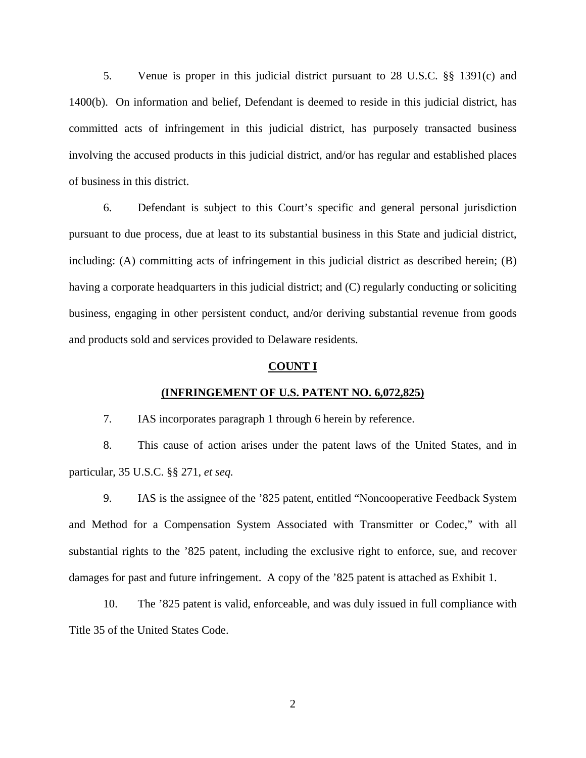5. Venue is proper in this judicial district pursuant to 28 U.S.C. §§ 1391(c) and 1400(b). On information and belief, Defendant is deemed to reside in this judicial district, has committed acts of infringement in this judicial district, has purposely transacted business involving the accused products in this judicial district, and/or has regular and established places of business in this district.

6. Defendant is subject to this Court's specific and general personal jurisdiction pursuant to due process, due at least to its substantial business in this State and judicial district, including: (A) committing acts of infringement in this judicial district as described herein; (B) having a corporate headquarters in this judicial district; and (C) regularly conducting or soliciting business, engaging in other persistent conduct, and/or deriving substantial revenue from goods and products sold and services provided to Delaware residents.

#### **COUNT I**

### **(INFRINGEMENT OF U.S. PATENT NO. 6,072,825)**

7. IAS incorporates paragraph 1 through 6 herein by reference.

8. This cause of action arises under the patent laws of the United States, and in particular, 35 U.S.C. §§ 271, *et seq.*

9. IAS is the assignee of the '825 patent, entitled "Noncooperative Feedback System and Method for a Compensation System Associated with Transmitter or Codec," with all substantial rights to the '825 patent, including the exclusive right to enforce, sue, and recover damages for past and future infringement. A copy of the '825 patent is attached as Exhibit 1.

10. The '825 patent is valid, enforceable, and was duly issued in full compliance with Title 35 of the United States Code.

2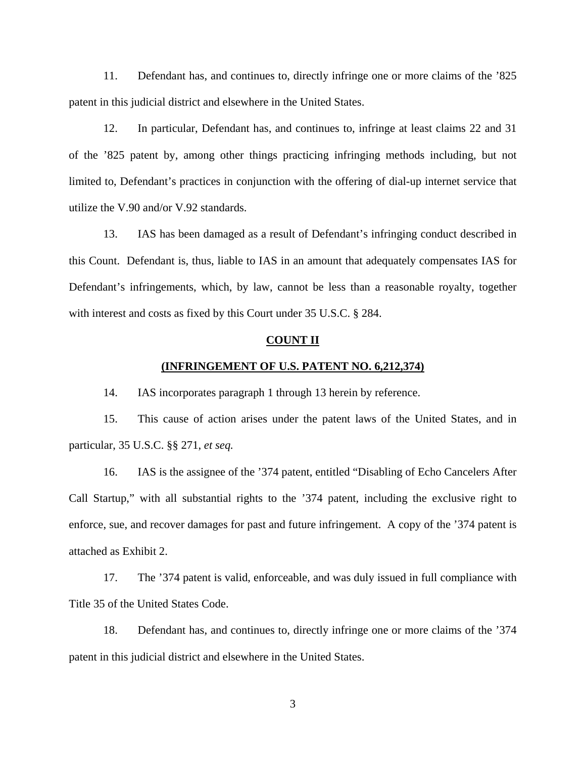11. Defendant has, and continues to, directly infringe one or more claims of the '825 patent in this judicial district and elsewhere in the United States.

12. In particular, Defendant has, and continues to, infringe at least claims 22 and 31 of the '825 patent by, among other things practicing infringing methods including, but not limited to, Defendant's practices in conjunction with the offering of dial-up internet service that utilize the V.90 and/or V.92 standards.

13. IAS has been damaged as a result of Defendant's infringing conduct described in this Count. Defendant is, thus, liable to IAS in an amount that adequately compensates IAS for Defendant's infringements, which, by law, cannot be less than a reasonable royalty, together with interest and costs as fixed by this Court under 35 U.S.C. § 284.

#### **COUNT II**

### **(INFRINGEMENT OF U.S. PATENT NO. 6,212,374)**

14. IAS incorporates paragraph 1 through 13 herein by reference.

15. This cause of action arises under the patent laws of the United States, and in particular, 35 U.S.C. §§ 271, *et seq.*

16. IAS is the assignee of the '374 patent, entitled "Disabling of Echo Cancelers After Call Startup," with all substantial rights to the '374 patent, including the exclusive right to enforce, sue, and recover damages for past and future infringement. A copy of the '374 patent is attached as Exhibit 2.

17. The '374 patent is valid, enforceable, and was duly issued in full compliance with Title 35 of the United States Code.

18. Defendant has, and continues to, directly infringe one or more claims of the '374 patent in this judicial district and elsewhere in the United States.

3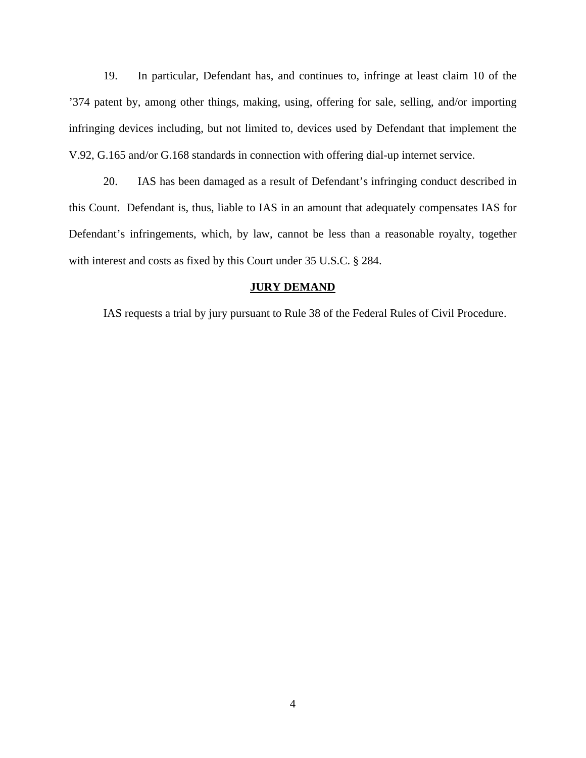19. In particular, Defendant has, and continues to, infringe at least claim 10 of the '374 patent by, among other things, making, using, offering for sale, selling, and/or importing infringing devices including, but not limited to, devices used by Defendant that implement the V.92, G.165 and/or G.168 standards in connection with offering dial-up internet service.

20. IAS has been damaged as a result of Defendant's infringing conduct described in this Count. Defendant is, thus, liable to IAS in an amount that adequately compensates IAS for Defendant's infringements, which, by law, cannot be less than a reasonable royalty, together with interest and costs as fixed by this Court under 35 U.S.C. § 284.

#### **JURY DEMAND**

IAS requests a trial by jury pursuant to Rule 38 of the Federal Rules of Civil Procedure.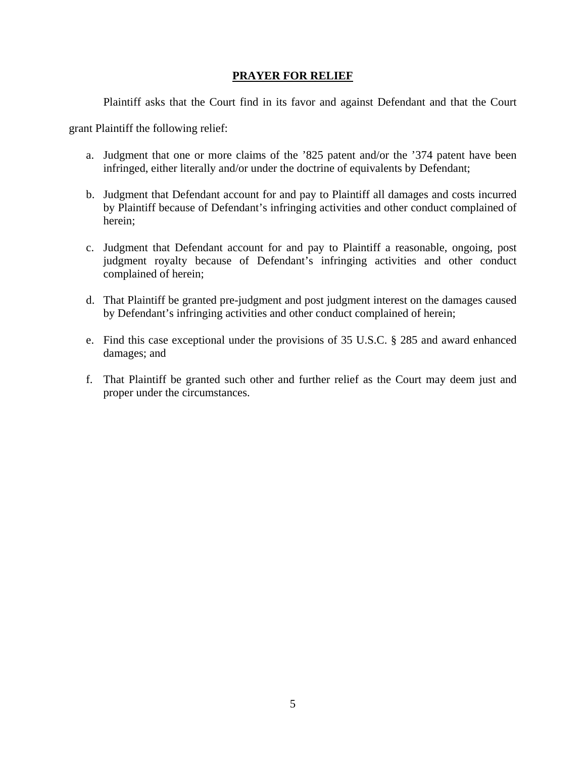# **PRAYER FOR RELIEF**

Plaintiff asks that the Court find in its favor and against Defendant and that the Court

grant Plaintiff the following relief:

- a. Judgment that one or more claims of the '825 patent and/or the '374 patent have been infringed, either literally and/or under the doctrine of equivalents by Defendant;
- b. Judgment that Defendant account for and pay to Plaintiff all damages and costs incurred by Plaintiff because of Defendant's infringing activities and other conduct complained of herein;
- c. Judgment that Defendant account for and pay to Plaintiff a reasonable, ongoing, post judgment royalty because of Defendant's infringing activities and other conduct complained of herein;
- d. That Plaintiff be granted pre-judgment and post judgment interest on the damages caused by Defendant's infringing activities and other conduct complained of herein;
- e. Find this case exceptional under the provisions of 35 U.S.C. § 285 and award enhanced damages; and
- f. That Plaintiff be granted such other and further relief as the Court may deem just and proper under the circumstances.